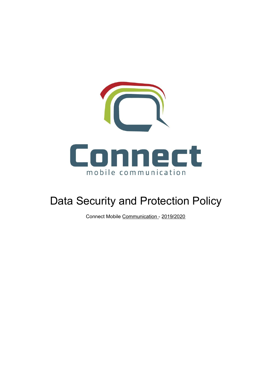

# Data Security and Protection Policy

Connect Mobile Communication - 2019/2020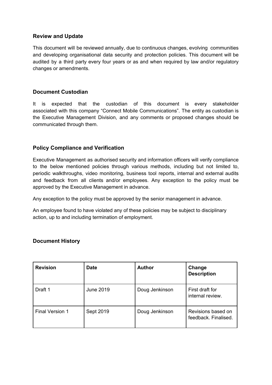#### **Review and Update**

This document will be reviewed annually, due to continuous changes, evolving communities and developing organisational data security and protection policies. This document will be audited by a third party every four years or as and when required by law and/or regulatory changes or amendments.

#### **Document Custodian**

It is expected that the custodian of this document is every stakeholder associated with this company "Connect Mobile Communications". The entity as custodian is the Executive Management Division, and any comments or proposed changes should be communicated through them.

#### **Policy Compliance and Verification**

Executive Management as authorised security and information officers will verify compliance to the below mentioned policies through various methods, including but not limited to, periodic walkthroughs, video monitoring, business tool reports, internal and external audits and feedback from all clients and/or employees. Any exception to the policy must be approved by the Executive Management in advance.

Any exception to the policy must be approved by the senior management in advance.

An employee found to have violated any of these policies may be subject to disciplinary action, up to and including termination of employment.

#### **Document History**

| <b>Revision</b> | <b>Date</b>      | <b>Author</b>  | Change<br><b>Description</b>               |
|-----------------|------------------|----------------|--------------------------------------------|
| Draft 1         | <b>June 2019</b> | Doug Jenkinson | First draft for<br>internal review.        |
| Final Version 1 | Sept 2019        | Doug Jenkinson | Revisions based on<br>feedback. Finalised. |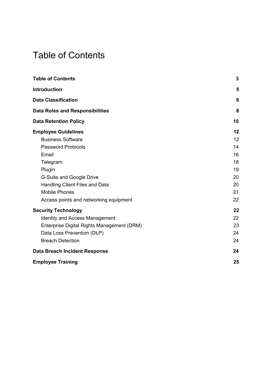# <span id="page-2-0"></span>Table of Contents

| <b>Table of Contents</b>                   | 3  |
|--------------------------------------------|----|
| Introduction                               | 5  |
| <b>Data Classification</b>                 | 6  |
| <b>Data Roles and Responsibilities</b>     | 8  |
| <b>Data Retention Policy</b>               | 10 |
| <b>Employee Guidelines</b>                 | 12 |
| <b>Business Software</b>                   | 12 |
| <b>Password Protocols</b>                  | 14 |
| Email                                      | 16 |
| Telegram                                   | 18 |
| Plugin                                     | 19 |
| G-Suite and Google Drive                   | 20 |
| Handling Client Files and Data             | 20 |
| <b>Mobile Phones</b>                       | 21 |
| Access points and networking equipment     | 22 |
| <b>Security Technology</b>                 | 22 |
| <b>Identity and Access Management</b>      | 22 |
| Enterprise Digital Rights Management (DRM) | 23 |
| Data Loss Prevention (DLP)                 | 24 |
| <b>Breach Detection</b>                    | 24 |
| <b>Data Breach Incident Response</b>       | 24 |
| <b>Employee Training</b>                   | 25 |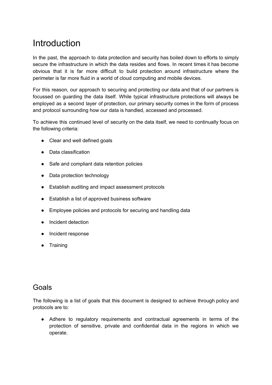## **Introduction**

In the past, the approach to data protection and security has boiled down to efforts to simply secure the infrastructure in which the data resides and flows. In recent times it has become obvious that it is far more difficult to build protection around infrastructure where the perimeter is far more fluid in a world of cloud computing and mobile devices.

For this reason, our approach to securing and protecting our data and that of our partners is focussed on guarding the data itself. While typical infrastructure protections will always be employed as a second layer of protection, our primary security comes in the form of process and protocol surrounding how our data is handled, accessed and processed.

To achieve this continued level of security on the data itself, we need to continually focus on the following criteria:

- Clear and well defined goals
- Data classification
- Safe and compliant data retention policies
- Data protection technology
- Establish auditing and impact assessment protocols
- Establish a list of approved business software
- Employee policies and protocols for securing and handling data
- Incident detection
- Incident response
- Training

### Goals

The following is a list of goals that this document is designed to achieve through policy and protocols are to:

● Adhere to regulatory requirements and contractual agreements in terms of the protection of sensitive, private and confidential data in the regions in which we operate.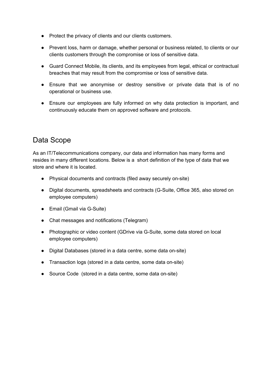- Protect the privacy of clients and our clients customers.
- Prevent loss, harm or damage, whether personal or business related, to clients or our clients customers through the compromise or loss of sensitive data.
- Guard Connect Mobile, its clients, and its employees from legal, ethical or contractual breaches that may result from the compromise or loss of sensitive data.
- Ensure that we anonymise or destroy sensitive or private data that is of no operational or business use.
- Ensure our employees are fully informed on why data protection is important, and continuously educate them on approved software and protocols.

### Data Scope

As an IT/Telecommunications company, our data and information has many forms and resides in many different locations. Below is a short definition of the type of data that we store and where it is located.

- Physical documents and contracts (filed away securely on-site)
- Digital documents, spreadsheets and contracts (G-Suite, Office 365, also stored on employee computers)
- Email (Gmail via G-Suite)
- Chat messages and notifications (Telegram)
- Photographic or video content (GDrive via G-Suite, some data stored on local employee computers)
- Digital Databases (stored in a data centre, some data on-site)
- Transaction logs (stored in a data centre, some data on-site)
- Source Code (stored in a data centre, some data on-site)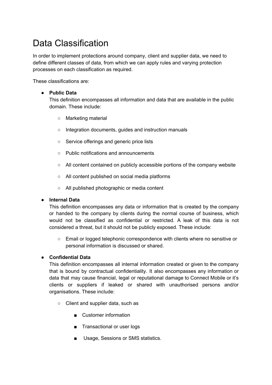# <span id="page-5-0"></span>Data Classification

In order to implement protections around company, client and supplier data, we need to define different classes of data, from which we can apply rules and varying protection processes on each classification as required.

These classifications are:

#### ● **Public Data**

This definition encompasses all information and data that are available in the public domain. These include:

- Marketing material
- Integration documents, guides and instruction manuals
- Service offerings and generic price lists
- Public notifications and announcements
- All content contained on publicly accessible portions of the company website
- All content published on social media platforms
- All published photographic or media content

#### ● **Internal Data**

This definition encompasses any data or information that is created by the company or handed to the company by clients during the normal course of business, which would not be classified as confidential or restricted. A leak of this data is not considered a threat, but it should not be publicly exposed. These include:

○ Email or logged telephonic correspondence with clients where no sensitive or personal information is discussed or shared.

#### ● **Confidential Data**

This definition encompasses all internal information created or given to the company that is bound by contractual confidentiality. It also encompasses any information or data that may cause financial, legal or reputational damage to Connect Mobile or it's clients or suppliers if leaked or shared with unauthorised persons and/or organisations. These include:

- Client and supplier data, such as
	- Customer information
	- Transactional or user logs
	- Usage, Sessions or SMS statistics.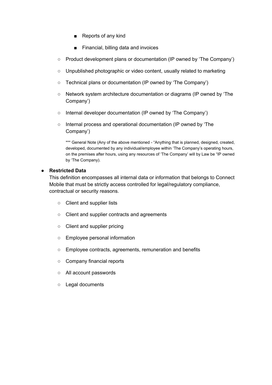- Reports of any kind
- Financial, billing data and invoices
- Product development plans or documentation (IP owned by 'The Company')
- Unpublished photographic or video content, usually related to marketing
- Technical plans or documentation (IP owned by 'The Company')
- Network system architecture documentation or diagrams (IP owned by 'The Company')
- Internal developer documentation (IP owned by 'The Company')
- Internal process and operational documentation (IP owned by 'The Company')

\*\*\* General Note (Any of the above mentioned - "Anything that is planned, designed, created, developed, documented by any individual/employee within 'The Company's operating hours, on the premises after hours, using any resources of 'The Company' will by Law be "IP owned by 'The Company).

#### **● Restricted Data**

This definition encompasses all internal data or information that belongs to Connect Mobile that must be strictly access controlled for legal/regulatory compliance, contractual or security reasons.

- Client and supplier lists
- Client and supplier contracts and agreements
- Client and supplier pricing
- Employee personal information
- Employee contracts, agreements, remuneration and benefits
- Company financial reports
- All account passwords
- Legal documents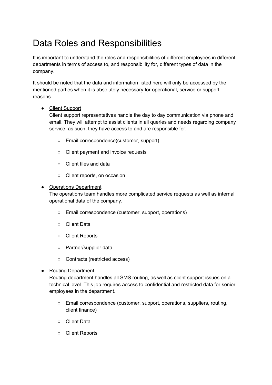## <span id="page-7-0"></span>Data Roles and Responsibilities

It is important to understand the roles and responsibilities of different employees in different departments in terms of access to, and responsibility for, different types of data in the company.

It should be noted that the data and information listed here will only be accessed by the mentioned parties when it is absolutely necessary for operational, service or support reasons.

#### ● Client Support

Client support representatives handle the day to day communication via phone and email. They will attempt to assist clients in all queries and needs regarding company service, as such, they have access to and are responsible for:

- Email correspondence(customer, support)
- Client payment and invoice requests
- Client files and data
- Client reports, on occasion

#### • Operations Department

The operations team handles more complicated service requests as well as internal operational data of the company.

- Email correspondence (customer, support, operations)
- Client Data
- Client Reports
- Partner/supplier data
- Contracts (restricted access)

#### ● Routing Department

Routing department handles all SMS routing, as well as client support issues on a technical level. This job requires access to confidential and restricted data for senior employees in the department.

- Email correspondence (customer, support, operations, suppliers, routing, client finance)
- Client Data
- Client Reports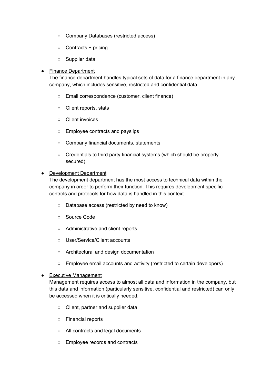- Company Databases (restricted access)
- Contracts + pricing
- Supplier data

#### ● Finance Department

The finance department handles typical sets of data for a finance department in any company, which includes sensitive, restricted and confidential data.

- Email correspondence (customer, client finance)
- Client reports, stats
- Client invoices
- Employee contracts and payslips
- Company financial documents, statements
- Credentials to third party financial systems (which should be properly secured).

#### • Development Department

The development department has the most access to technical data within the company in order to perform their function. This requires development specific controls and protocols for how data is handled in this context.

- Database access (restricted by need to know)
- Source Code
- Administrative and client reports
- User/Service/Client accounts
- Architectural and design documentation
- Employee email accounts and activity (restricted to certain developers)

#### • Executive Management

Management requires access to almost all data and information in the company, but this data and information (particularly sensitive, confidential and restricted) can only be accessed when it is critically needed.

- Client, partner and supplier data
- Financial reports
- All contracts and legal documents
- Employee records and contracts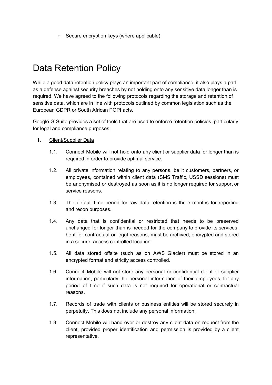○ Secure encryption keys (where applicable)

## <span id="page-9-0"></span>Data Retention Policy

While a good data retention policy plays an important part of compliance, it also plays a part as a defense against security breaches by not holding onto any sensitive data longer than is required. We have agreed to the following protocols regarding the storage and retention of sensitive data, which are in line with protocols outlined by common legislation such as the European GDPR or South African POPI acts.

Google G-Suite provides a set of tools that are used to enforce retention policies, particularly for legal and compliance purposes.

- 1. Client/Supplier Data
	- 1.1. Connect Mobile will not hold onto any client or supplier data for longer than is required in order to provide optimal service.
	- 1.2. All private information relating to any persons, be it customers, partners, or employees, contained within client data (SMS Traffic, USSD sessions) must be anonymised or destroyed as soon as it is no longer required for support or service reasons.
	- 1.3. The default time period for raw data retention is three months for reporting and recon purposes.
	- 1.4. Any data that is confidential or restricted that needs to be preserved unchanged for longer than is needed for the company to provide its services, be it for contractual or legal reasons, must be archived, encrypted and stored in a secure, access controlled location.
	- 1.5. All data stored offsite (such as on AWS Glacier) must be stored in an encrypted format and strictly access controlled.
	- 1.6. Connect Mobile will not store any personal or confidential client or supplier information, particularly the personal information of their employees, for any period of time if such data is not required for operational or contractual reasons.
	- 1.7. Records of trade with clients or business entities will be stored securely in perpetuity. This does not include any personal information.
	- 1.8. Connect Mobile will hand over or destroy any client data on request from the client, provided proper identification and permission is provided by a client representative.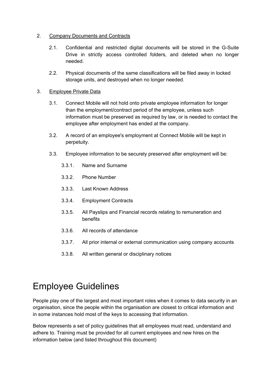#### 2. Company Documents and Contracts

- 2.1. Confidential and restricted digital documents will be stored in the G-Suite Drive in strictly access controlled folders, and deleted when no longer needed.
- 2.2. Physical documents of the same classifications will be filed away in locked storage units, and destroyed when no longer needed.

#### 3. Employee Private Data

- 3.1. Connect Mobile will not hold onto private employee information for longer than the employment/contract period of the employee, unless such information must be preserved as required by law, or is needed to contact the employee after employment has ended at the company.
- 3.2. A record of an employee's employment at Connect Mobile will be kept in perpetuity.
- 3.3. Employee information to be securely preserved after employment will be:
	- 3.3.1. Name and Surname
	- 3.3.2. Phone Number
	- 3.3.3. Last Known Address
	- 3.3.4. Employment Contracts
	- 3.3.5. All Payslips and Financial records relating to remuneration and benefits
	- 3.3.6. All records of attendance
	- 3.3.7. All prior internal or external communication using company accounts
	- 3.3.8. All written general or disciplinary notices

# <span id="page-10-0"></span>Employee Guidelines

People play one of the largest and most important roles when it comes to data security in an organisation, since the people within the organisation are closest to critical information and in some instances hold most of the keys to accessing that information.

Below represents a set of policy guidelines that all employees must read, understand and adhere to. Training must be provided for all current employees and new hires on the information below (and listed throughout this document)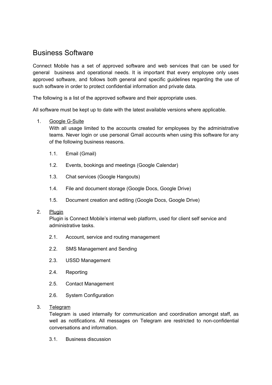### <span id="page-11-0"></span>Business Software

Connect Mobile has a set of approved software and web services that can be used for general business and operational needs. It is important that every employee only uses approved software, and follows both general and specific guidelines regarding the use of such software in order to protect confidential information and private data.

The following is a list of the approved software and their appropriate uses.

All software must be kept up to date with the latest available versions where applicable.

#### 1. Google G-Suite

With all usage limited to the accounts created for employees by the administrative teams. Never login or use personal Gmail accounts when using this software for any of the following business reasons.

- 1.1. Email (Gmail)
- 1.2. Events, bookings and meetings (Google Calendar)
- 1.3. Chat services (Google Hangouts)
- 1.4. File and document storage (Google Docs, Google Drive)
- 1.5. Document creation and editing (Google Docs, Google Drive)

#### 2. Plugin

Plugin is Connect Mobile's internal web platform, used for client self service and administrative tasks.

- 2.1. Account, service and routing management
- 2.2. SMS Management and Sending
- 2.3. USSD Management
- 2.4. Reporting
- 2.5. Contact Management
- 2.6. System Configuration
- 3. Telegram

Telegram is used internally for communication and coordination amongst staff, as well as notifications. All messages on Telegram are restricted to non-confidential conversations and information.

3.1. Business discussion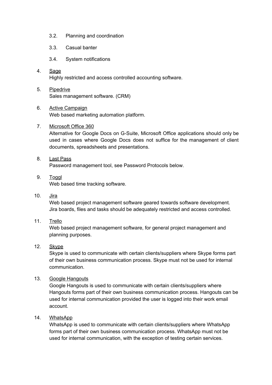- 3.2. Planning and coordination
- 3.3. Casual banter
- 3.4. System notifications
- 4. Sage Highly restricted and access controlled accounting software.
- 5. Pipedrive Sales management software. (CRM)
- 6. Active Campaign Web based marketing automation platform.
- 7. Microsoft Office 360

Alternative for Google Docs on G-Suite, Microsoft Office applications should only be used in cases where Google Docs does not suffice for the management of client documents, spreadsheets and presentations.

- 8. Last Pass Password management tool, see Password Protocols below.
- 9. Toggl Web based time tracking software.
- 10. Jira

Web based project management software geared towards software development. Jira boards, files and tasks should be adequately restricted and access controlled.

11. Trello

Web based project management software, for general project management and planning purposes.

12. Skype

Skype is used to communicate with certain clients/suppliers where Skype forms part of their own business communication process. Skype must not be used for internal communication.

13. Google Hangouts

Google Hangouts is used to communicate with certain clients/suppliers where Hangouts forms part of their own business communication process. Hangouts can be used for internal communication provided the user is logged into their work email account.

14. WhatsApp

WhatsApp is used to communicate with certain clients/suppliers where WhatsApp forms part of their own business communication process. WhatsApp must not be used for internal communication, with the exception of testing certain services.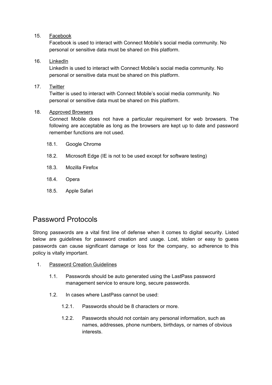#### 15. Facebook

Facebook is used to interact with Connect Mobile's social media community. No personal or sensitive data must be shared on this platform.

#### 16. LinkedIn

LinkedIn is used to interact with Connect Mobile's social media community. No personal or sensitive data must be shared on this platform.

#### 17. Twitter

Twitter is used to interact with Connect Mobile's social media community. No personal or sensitive data must be shared on this platform.

#### 18. Approved Browsers

Connect Mobile does not have a particular requirement for web browsers. The following are acceptable as long as the browsers are kept up to date and password remember functions are not used.

- 18.1. Google Chrome
- 18.2. Microsoft Edge (IE is not to be used except for software testing)
- 18.3. Mozilla Firefox
- 18.4. Opera
- 18.5. Apple Safari

### <span id="page-13-0"></span>Password Protocols

Strong passwords are a vital first line of defense when it comes to digital security. Listed below are guidelines for password creation and usage. Lost, stolen or easy to guess passwords can cause significant damage or loss for the company, so adherence to this policy is vitally important.

- 1. Password Creation Guidelines
	- 1.1. Passwords should be auto generated using the LastPass password management service to ensure long, secure passwords.
	- 1.2. In cases where LastPass cannot be used:
		- 1.2.1. Passwords should be 8 characters or more.
		- 1.2.2. Passwords should not contain any personal information, such as names, addresses, phone numbers, birthdays, or names of obvious interests.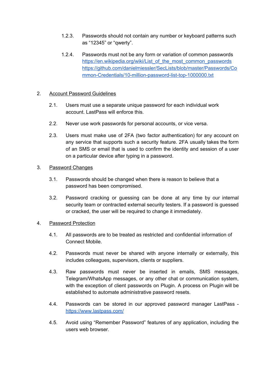- 1.2.3. Passwords should not contain any number or keyboard patterns such as "12345" or "qwerty".
- 1.2.4. Passwords must not be any form or variation of common passwords [https://en.wikipedia.org/wiki/List\\_of\\_the\\_most\\_common\\_passwords](https://en.wikipedia.org/wiki/List_of_the_most_common_passwords) [https://github.com/danielmiessler/SecLists/blob/master/Passwords/Co](https://github.com/danielmiessler/SecLists/blob/master/Passwords/Common-Credentials/10-million-password-list-top-1000000.txt) [mmon-Credentials/10-million-password-list-top-1000000.txt](https://github.com/danielmiessler/SecLists/blob/master/Passwords/Common-Credentials/10-million-password-list-top-1000000.txt)

#### 2. Account Password Guidelines

- 2.1. Users must use a separate unique password for each individual work account. LastPass will enforce this.
- 2.2. Never use work passwords for personal accounts, or vice versa.
- 2.3. Users must make use of 2FA (two factor authentication) for any account on any service that supports such a security feature. 2FA usually takes the form of an SMS or email that is used to confirm the identity and session of a user on a particular device after typing in a password.

#### 3. Password Changes

- 3.1. Passwords should be changed when there is reason to believe that a password has been compromised.
- 3.2. Password cracking or guessing can be done at any time by our internal security team or contracted external security testers. If a password is guessed or cracked, the user will be required to change it immediately.

#### 4. Password Protection

- 4.1. All passwords are to be treated as restricted and confidential information of Connect Mobile.
- 4.2. Passwords must never be shared with anyone internally or externally, this includes colleagues, supervisors, clients or suppliers.
- 4.3. Raw passwords must never be inserted in emails, SMS messages, Telegram/WhatsApp messages, or any other chat or communication system, with the exception of client passwords on Plugin. A process on Plugin will be established to automate administrative password resets.
- 4.4. Passwords can be stored in our approved password manager LastPass <https://www.lastpass.com/>
- 4.5. Avoid using "Remember Password" features of any application, including the users web browser.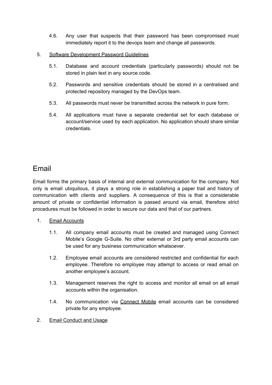4.6. Any user that suspects that their password has been compromised must immediately report it to the devops team and change all passwords.

#### 5. Software Development Password Guidelines

- 5.1. Database and account credentials (particularly passwords) should not be stored in plain text in any source code.
- 5.2. Passwords and sensitive credentials should be stored in a centralised and protected repository managed by the DevOps team.
- 5.3. All passwords must never be transmitted across the network in pure form.
- 5.4. All applications must have a separate credential set for each database or account/service used by each application. No application should share similar credentials.

### <span id="page-15-0"></span>Email

Email forms the primary basis of internal and external communication for the company. Not only is email ubiquitous, it plays a strong role in establishing a paper trail and history of communication with clients and suppliers. A consequence of this is that a considerable amount of private or confidential information is passed around via email, therefore strict procedures must be followed in order to secure our data and that of our partners.

- 1. Email Accounts
	- 1.1. All company email accounts must be created and managed using Connect Mobile's Google G-Suite. No other external or 3rd party email accounts can be used for any business communication whatsoever.
	- 1.2. Employee email accounts are considered restricted and confidential for each employee. Therefore no employee may attempt to access or read email on another employee's account.
	- 1.3. Management reserves the right to access and monitor all email on all email accounts within the organisation.
	- 1.4. No communication via Connect Mobile email accounts can be considered private for any employee.
- 2. Email Conduct and Usage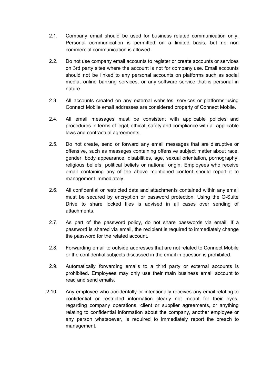- 2.1. Company email should be used for business related communication only. Personal communication is permitted on a limited basis, but no non commercial communication is allowed.
- 2.2. Do not use company email accounts to register or create accounts or services on 3rd party sites where the account is not for company use. Email accounts should not be linked to any personal accounts on platforms such as social media, online banking services, or any software service that is personal in nature.
- 2.3. All accounts created on any external websites, services or platforms using Connect Mobile email addresses are considered property of Connect Mobile.
- 2.4. All email messages must be consistent with applicable policies and procedures in terms of legal, ethical, safety and compliance with all applicable laws and contractual agreements.
- 2.5. Do not create, send or forward any email messages that are disruptive or offensive, such as messages containing offensive subject matter about race, gender, body appearance, disabilities, age, sexual orientation, pornography, religious beliefs, political beliefs or national origin. Employees who receive email containing any of the above mentioned content should report it to management immediately.
- 2.6. All confidential or restricted data and attachments contained within any email must be secured by encryption or password protection. Using the G-Suite Drive to share locked files is advised in all cases over sending of attachments.
- 2.7. As part of the password policy, do not share passwords via email. If a password is shared via email, the recipient is required to immediately change the password for the related account.
- 2.8. Forwarding email to outside addresses that are not related to Connect Mobile or the confidential subjects discussed in the email in question is prohibited.
- 2.9. Automatically forwarding emails to a third party or external accounts is prohibited. Employees may only use their main business email account to read and send emails.
- 2.10. Any employee who accidentally or intentionally receives any email relating to confidential or restricted information clearly not meant for their eyes, regarding company operations, client or supplier agreements, or anything relating to confidential information about the company, another employee or any person whatsoever, is required to immediately report the breach to management.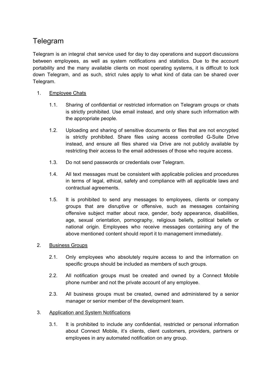## <span id="page-17-0"></span>Telegram

Telegram is an integral chat service used for day to day operations and support discussions between employees, as well as system notifications and statistics. Due to the account portability and the many available clients on most operating systems, it is difficult to lock down Telegram, and as such, strict rules apply to what kind of data can be shared over Telegram.

#### 1. Employee Chats

- 1.1. Sharing of confidential or restricted information on Telegram groups or chats is strictly prohibited. Use email instead, and only share such information with the appropriate people.
- 1.2. Uploading and sharing of sensitive documents or files that are not encrypted is strictly prohibited. Share files using access controlled G-Suite Drive instead, and ensure all files shared via Drive are not publicly available by restricting their access to the email addresses of those who require access.
- 1.3. Do not send passwords or credentials over Telegram.
- 1.4. All text messages must be consistent with applicable policies and procedures in terms of legal, ethical, safety and compliance with all applicable laws and contractual agreements.
- 1.5. It is prohibited to send any messages to employees, clients or company groups that are disruptive or offensive, such as messages containing offensive subject matter about race, gender, body appearance, disabilities, age, sexual orientation, pornography, religious beliefs, political beliefs or national origin. Employees who receive messages containing any of the above mentioned content should report it to management immediately.

#### 2. Business Groups

- 2.1. Only employees who absolutely require access to and the information on specific groups should be included as members of such groups.
- 2.2. All notification groups must be created and owned by a Connect Mobile phone number and not the private account of any employee.
- 2.3. All business groups must be created, owned and administered by a senior manager or senior member of the development team.

#### 3. Application and System Notifications

3.1. It is prohibited to include any confidential, restricted or personal information about Connect Mobile, it's clients, client customers, providers, partners or employees in any automated notification on any group.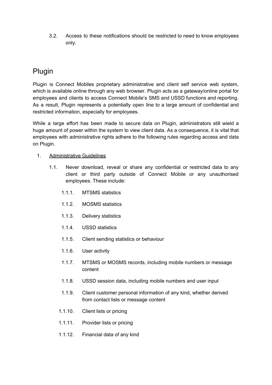3.2. Access to these notifications should be restricted to need to know employees only.

## <span id="page-18-0"></span>Plugin

Plugin is Connect Mobiles proprietary administrative and client self service web system, which is available online through any web browser. Plugin acts as a gateway/online portal for employees and clients to access Connect Mobile's SMS and USSD functions and reporting. As a result, Plugin represents a potentially open line to a large amount of confidential and restricted information, especially for employees.

While a large effort has been made to secure data on Plugin, administrators still wield a huge amount of power within the system to view client data. As a consequence, it is vital that employees with administrative rights adhere to the following rules regarding access and data on Plugin.

#### 1. Administrative Guidelines

- 1.1. Never download, reveal or share any confidential or restricted data to any client or third party outside of Connect Mobile or any unauthorised employees. These include:
	- 1.1.1. MTSMS statistics
	- 1.1.2. MOSMS statistics
	- 1.1.3. Delivery statistics
	- 1.1.4. USSD statistics
	- 1.1.5. Client sending statistics or behaviour
	- 1.1.6. User activity
	- 1.1.7. MTSMS or MOSMS records, including mobile numbers or message content
	- 1.1.8. USSD session data, including mobile numbers and user input
	- 1.1.9. Client customer personal information of any kind, whether derived from contact lists or message content
	- 1.1.10. Client lists or pricing
	- 1.1.11. Provider lists or pricing
	- 1.1.12. Financial data of any kind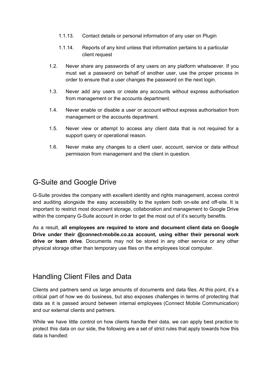- 1.1.13. Contact details or personal information of any user on Plugin
- 1.1.14. Reports of any kind unless that information pertains to a particular client request
- 1.2. Never share any passwords of any users on any platform whatsoever. If you must set a password on behalf of another user, use the proper process in order to ensure that a user changes the password on the next login.
- 1.3. Never add any users or create any accounts without express authorisation from management or the accounts department.
- 1.4. Never enable or disable a user or account without express authorisation from management or the accounts department.
- 1.5. Never view or attempt to access any client data that is not required for a support query or operational reason.
- 1.6. Never make any changes to a client user, account, service or data without permission from management and the client in question.

### <span id="page-19-0"></span>G-Suite and Google Drive

G-Suite provides the company with excellent identity and rights management, access control and auditing alongside the easy accessibility to the system both on-site and off-site. It is important to restrict most document storage, collaboration and management to Google Drive within the company G-Suite account in order to get the most out of it's security benefits.

As a result, **all employees are required to store and document client data on Google Drive under their @connect-mobile.co.za account, using either their personal work drive or team drive**. Documents may not be stored in any other service or any other physical storage other than temporary use files on the employees local computer.

## <span id="page-19-1"></span>Handling Client Files and Data

Clients and partners send us large amounts of documents and data files. At this point, it's a critical part of how we do business, but also exposes challenges in terms of protecting that data as it is passed around between internal employees (Connect Mobile Communication) and our external clients and partners.

While we have little control on how clients handle their data, we can apply best practice to protect this data on our side, the following are a set of strict rules that apply towards how this data is handled: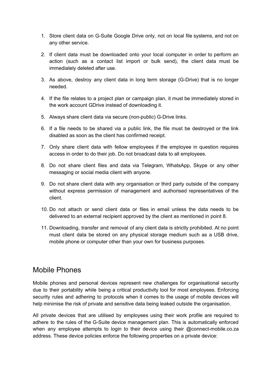- 1. Store client data on G-Suite Google Drive only, not on local file systems, and not on any other service.
- 2. If client data must be downloaded onto your local computer in order to perform an action (such as a contact list import or bulk send), the client data must be immediately deleted after use.
- 3. As above, destroy any client data in long term storage (G-Drive) that is no longer needed.
- 4. If the file relates to a project plan or campaign plan, it must be immediately stored in the work account GDrive instead of downloading it.
- 5. Always share client data via secure (non-public) G-Drive links.
- 6. If a file needs to be shared via a public link, the file must be destroyed or the link disabled as soon as the client has confirmed receipt.
- 7. Only share client data with fellow employees if the employee in question requires access in order to do their job. Do not broadcast data to all employees.
- 8. Do not share client files and data via Telegram, WhatsApp, Skype or any other messaging or social media client with anyone.
- 9. Do not share client data with any organisation or third party outside of the company without express permission of management and authorised representatives of the client.
- 10. Do not attach or send client data or files in email unless the data needs to be delivered to an external recipient approved by the client as mentioned in point 8.
- 11. Downloading, transfer and removal of any client data is strictly prohibited. At no point must client data be stored on any physical storage medium such as a USB drive, mobile phone or computer other than your own for business purposes.

### <span id="page-20-0"></span>Mobile Phones

Mobile phones and personal devices represent new challenges for organisational security due to their portability while being a critical productivity tool for most employees. Enforcing security rules and adhering to protocols when it comes to the usage of mobile devices will help minimise the risk of private and sensitive data being leaked outside the organisation.

All private devices that are utilised by employees using their work profile are required to adhere to the rules of the G-Suite device management plan. This is automatically enforced when any employee attempts to login to their device using their @connect-mobile.co.za address. These device policies enforce the following properties on a private device: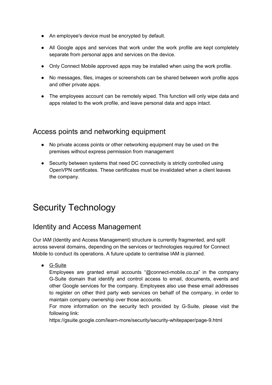- An employee's device must be encrypted by default.
- All Google apps and services that work under the work profile are kept completely separate from personal apps and services on the device.
- Only Connect Mobile approved apps may be installed when using the work profile.
- No messages, files, images or screenshots can be shared between work profile apps and other private apps.
- The employees account can be remotely wiped. This function will only wipe data and apps related to the work profile, and leave personal data and apps intact.

### <span id="page-21-0"></span>Access points and networking equipment

- No private access points or other networking equipment may be used on the premises without express permission from management
- Security between systems that need DC connectivity is strictly controlled using OpenVPN certificates. These certificates must be invalidated when a client leaves the company.

## <span id="page-21-1"></span>Security Technology

### <span id="page-21-2"></span>Identity and Access Management

Our IAM (Identity and Access Management) structure is currently fragmented, and split across several domains, depending on the services or technologies required for Connect Mobile to conduct its operations. A future update to centralise IAM is planned.

● **G-Suite** 

Employees are granted email accounts "@connect-mobile.co.za" in the company G-Suite domain that identify and control access to email, documents, events and other Google services for the company. Employees also use these email addresses to register on other third party web services on behalf of the company, in order to maintain company ownership over those accounts.

For more information on the security tech provided by G-Suite, please visit the following link:

https://gsuite.google.com/learn-more/security/security-whitepaper/page-9.html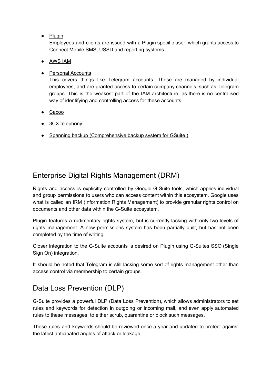● Plugin

Employees and clients are issued with a Plugin specific user, which grants access to Connect Mobile SMS, USSD and reporting systems.

- AWS IAM
- Personal Accounts

This covers things like Telegram accounts. These are managed by individual employees, and are granted access to certain company channels, such as Telegram groups. This is the weakest part of the IAM architecture, as there is no centralised way of identifying and controlling access for these accounts.

- Cacoo
- 3CX telephony
- Spanning backup (Comprehensive backup system for GSuite.)

## <span id="page-22-0"></span>Enterprise Digital Rights Management (DRM)

Rights and access is explicitly controlled by Google G-Suite tools, which applies individual and group permissions to users who can access content within this ecosystem. Google uses what is called an IRM (Information Rights Management) to provide granular rights control on documents and other data within the G-Suite ecosystem.

Plugin features a rudimentary rights system, but is currently lacking with only two levels of rights management. A new permissions system has been partially built, but has not been completed by the time of writing.

Closer integration to the G-Suite accounts is desired on Plugin using G-Suites SSO (Single Sign On) integration.

It should be noted that Telegram is still lacking some sort of rights management other than access control via membership to certain groups.

## <span id="page-22-1"></span>Data Loss Prevention (DLP)

G-Suite provides a powerful DLP (Data Loss Prevention), which allows administrators to set rules and keywords for detection in outgoing or incoming mail, and even apply automated rules to these messages, to either scrub, quarantine or block such messages.

These rules and keywords should be reviewed once a year and updated to protect against the latest anticipated angles of attack or leakage.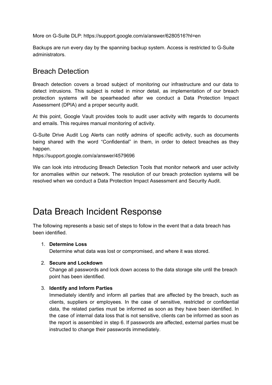More on G-Suite DLP: https://support.google.com/a/answer/6280516?hl=en

Backups are run every day by the spanning backup system. Access is restricted to G-Suite administrators.

### <span id="page-23-0"></span>Breach Detection

Breach detection covers a broad subject of monitoring our infrastructure and our data to detect intrusions. This subject is noted in minor detail, as implementation of our breach protection systems will be spearheaded after we conduct a Data Protection Impact Assessment (DPIA) and a proper security audit.

At this point, Google Vault provides tools to audit user activity with regards to documents and emails. This requires manual monitoring of activity.

G-Suite Drive Audit Log Alerts can notify admins of specific activity, such as documents being shared with the word "Confidential" in them, in order to detect breaches as they happen.

https://support.google.com/a/answer/4579696

We can look into introducing Breach Detection Tools that monitor network and user activity for anomalies within our network. The resolution of our breach protection systems will be resolved when we conduct a Data Protection Impact Assessment and Security Audit.

## <span id="page-23-1"></span>Data Breach Incident Response

The following represents a basic set of steps to follow in the event that a data breach has been identified.

#### 1. **Determine Loss**

Determine what data was lost or compromised, and where it was stored.

#### 2. **Secure and Lockdown**

Change all passwords and lock down access to the data storage site until the breach point has been identified.

#### 3. **Identify and Inform Parties**

Immediately identify and inform all parties that are affected by the breach, such as clients, suppliers or employees. In the case of sensitive, restricted or confidential data, the related parties must be informed as soon as they have been identified. In the case of internal data loss that is not sensitive, clients can be informed as soon as the report is assembled in step 6. If passwords are affected, external parties must be instructed to change their passwords immediately.